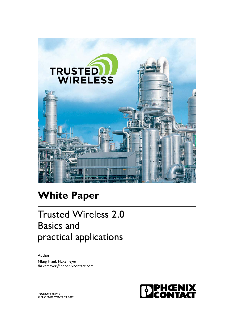

# **White Paper**

# Trusted Wireless 2.0 – Basics and practical applications

Author: MEng Frank Hakemeyer fhakemeyer@phoenixcontact.com

**EDPHŒNIX** 

ION03-17,000.PR5 © PHOENIX CONTACT 2017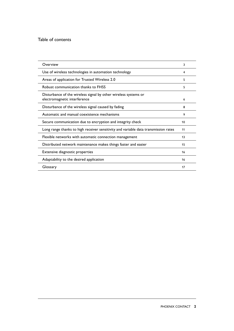#### Table of contents

| Overview                                                                            | 3  |
|-------------------------------------------------------------------------------------|----|
| Use of wireless technologies in automation technology                               | 4  |
| Areas of application for Trusted Wireless 2.0                                       | 5  |
| Robust communication thanks to FHSS                                                 | 5  |
| Disturbance of the wireless signal by other wireless systems or                     |    |
| electromagnetic interference                                                        | 6  |
| Disturbance of the wireless signal caused by fading                                 | 8  |
| Automatic and manual coexistence mechanisms                                         | 9  |
| Secure communication due to encryption and integrity check                          | 10 |
| Long range thanks to high receiver sensitivity and variable data transmission rates | 11 |
| Flexible networks with automatic connection management                              | 13 |
| Distributed network maintenance makes things faster and easier                      | 15 |
| Extensive diagnostic properties                                                     | 16 |
| Adaptability to the desired application                                             | 16 |
| Glossary                                                                            | 17 |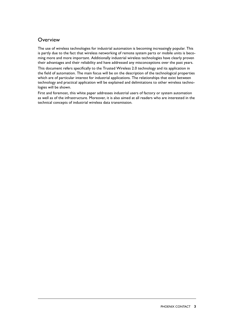#### <span id="page-2-0"></span>**Overview**

The use of wireless technologies for industrial automation is becoming increasingly popular. This is partly due to the fact that wireless networking of remote system parts or mobile units is becoming more and more important. Additionally industrial wireless technologies have clearly proven their advantages and their reliability and have addressed any misconceptions over the past years. This document refers specifically to the Trusted Wireless 2.0 technology and its application in the field of automation. The main focus will be on the description of the technological properties which are of particular interest for industrial applications. The relationships that exist between technology and practical application will be explained and delimitations to other wireless technologies will be shown.

First and foremost, this white paper addresses industrial users of factory or system automation as well as of the infrastructure. Moreover, it is also aimed at all readers who are interested in the technical concepts of industrial wireless data transmission.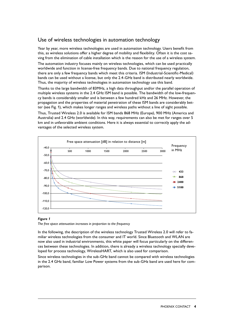# <span id="page-3-0"></span>Use of wireless technologies in automation technology

Year by year, more wireless technologies are used in automation technology. Users benefit from this, as wireless solutions offer a higher degree of mobility and flexibility. Often it is the cost saving from the elimination of cable installation which is the reason for the use of a wireless system.

The automation industry focuses mainly on wireless technologies, which can be used practically worldwide and function in license-free frequency bands. Due to national frequency regulation, there are only a few frequency bands which meet this criteria. ISM (Industrial-Scientific-Medical) bands can be used without a license, but only the 2.4-GHz band is distributed nearly worldwide. Thus, the majority of wireless technologies in automation technology use this band.

Thanks to the large bandwidth of 83MHz, a high data throughput and/or the parallel operation of multiple wireless systems in the 2.4 GHz ISM band is possible. The bandwidth of the low-frequency bands is considerably smaller and is between a few hundred kHz and 26 MHz. However, the propagation and the properties of material penetration of these ISM bands are considerably better (see Fig. 1), which makes longer ranges and wireless paths without a line of sight possible.

Thus, Trusted Wireless 2.0 is available for ISM bands 868 MHz (Europe), 900 MHz (America and Australia) and 2.4 GHz (worldwide). In this way, requirements can also be met for ranges over 5 km and in unfavorable ambient conditions. Here it is always essential to correctly apply the advantages of the selected wireless system.



#### *Figure 1*

*The free space attenuation increases in proportion to the frequency*

In the following, the description of the wireless technology Trusted Wireless 2.0 will refer to familiar wireless technologies from the consumer and IT world. Since Bluetooth and WLAN are now also used in industrial environments, this white paper will focus particularly on the differences between these technologies. In addition, there is already a wireless technology specially developed for process technology, WirelessHART, which is also used for comparison.

Since wireless technologies in the sub-GHz band cannot be compared with wireless technologies in the 2.4 GHz band, familiar Low Power systems from the sub-GHz band are used here for comparison.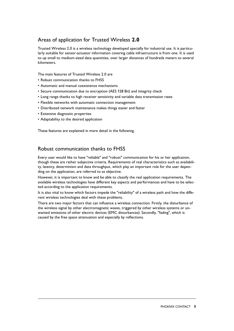# <span id="page-4-0"></span>Areas of application for Trusted Wireless **2.0**

Trusted Wireless 2.0 is a wireless technology developed specially for industrial use. It is particularly suitable for sensor-actuator information covering cable infrastructure is from one. It is used to up small to medium-sized data quantities, over larger distances of hundreds meters to several kilometers.

The main features of Trusted Wireless 2.0 are

- Robust communication thanks to FHSS
- Automatic and manual coexistence mechanisms
- Secure communication due to encryption (AES 128 Bit) and integrity check
- Long range thanks to high receiver sensitivity and variable data transmission rates
- Flexible networks with automatic connection management
- Distributed network maintenance makes things easier and faster
- Extensive diagnostic properties
- Adaptability to the desired application

These features are explained in more detail in the following.

### Robust communication thanks to FHSS

Every user would like to have "reliable" and "robust" communication for his or her application, though these are rather subjective criteria. Requirements of real characteristics such as availability, latency, determinism and data throughput, which play an important role for the user depending on the application, are referred to as objective.

However, it is important to know and be able to classify the real application requirements. The available wireless technologies have different key aspects and performances and have to be selected according to the application requirements.

It is also vital to know which factors impede the "reliability" of a wireless path and how the different wireless technologies deal with these problems.

There are two major factors that can influence a wireless connection. Firstly, the disturbance of the wireless signal by other electromagnetic waves, triggered by other wireless systems or unwanted emissions of other electric devices (EMC disturbances). Secondly, "fading", which is caused by the free space attenuation and especially by reflections.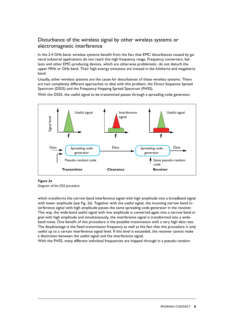# <span id="page-5-0"></span>Disturbance of the wireless signal by other wireless systems or electromagnetic interference

In the 2.4 GHz band, wireless systems benefit from the fact that EMC disturbances caused by general industrial applications do not reach this high frequency range. Frequency converters, ballasts and other EMC-producing devices, which are otherwise problematic, do not disturb the upper MHz or GHz band. Their high-energy emissions are instead in the kilohertz and megahertz band.

Usually, other wireless systems are the cause for disturbances of these wireless systems. There are two completely different approaches to deal with this problem: the Direct Sequence Spread Spectrum (DSSS) and the Frequency Hopping Spread Spectrum (FHSS).

With the DSSS, the useful signal to be transmitted passes through a spreading code generator,



#### *Figure 2a*

*Diagram of the DSS procedure*

which transforms the narrow band interference signal with high amplitude into a broadband signal with lower amplitude (see Fig. 2a). Together with the useful signal, the incoming narrow band interference signal with high amplitude passes the same spreading code generator in the receiver. This way, the wide-band useful signal with low amplitude is converted again into a narrow band signal with high amplitude and simultaneously, the interference signal is transformed into a wideband noise. One benefit of this procedure is the possible transmission with a very high data rate. The disadvantage is the fixed transmission frequency as well as the fact that this procedure is only useful up to a certain interference signal level. If this level is exceeded, the receiver cannot make a distinction between the useful signal and the interference signal.

With the FHSS, many different individual frequencies are hopped through in a pseudo-random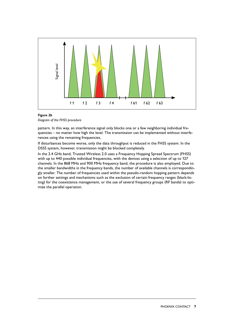

# *Figure 2b*

pattern. In this way, an interference signal only blocks one or a few neighboring individual frequencies – no matter how high the level. The transmission can be implemented without interferences using the remaining frequencies.

If disturbances become worse, only the data throughput is reduced in the FHSS system. In the DSSS system, however, transmission might be blocked completely.

In the 2.4 GHz band, Trusted Wireless 2.0 uses a Frequency Hopping Spread Spectrum (FHSS) with up to 440 possible individual frequencies, with the devices using a selection of up to 127 channels. In the 868 MHz and 900 MHz frequency band, the procedure is also employed. Due to the smaller bandwidths in the frequency bands, the number of available channels is correspondingly smaller. The number of frequencies used within the pseudo-random hopping pattern depends on further settings and mechanisms such as the exclusion of certain frequency ranges (black-listing) for the coexistence management, or the use of several frequency groups (RF bands) to optimize the parallel operation.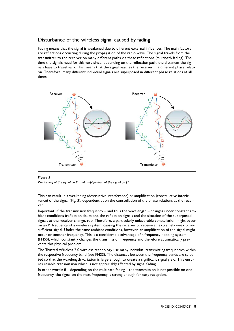# <span id="page-7-0"></span>Disturbance of the wireless signal caused by fading

Fading means that the signal is weakened due to different external influences. The main factors are reflections occurring during the propagation of the radio wave. The signal travels from the transmitter to the receiver on many different paths via these reflections (multipath fading). The time the signals need for this vary since, depending on the reflection path, the distances the signals have to travel vary. This means that the signal reaches the receiver in a different phase relation. Therefore, many different individual signals are superposed in different phase relations at all times.



#### *Figure 3*

*Weakening of the signal on f1 and amplification of the signal on f2*

This can result in a weakening (destructive interference) or amplification (constructive interference) of the signal (Fig. 3), dependent upon the constellation of the phase relations at the receiver.

Important: If the transmission frequency – and thus the wavelength – changes under constant ambient conditions (reflection situation), the reflection signals and the situation of the superposed signals at the receiver change, too. Therefore, a particularly unfavorable constellation might occur on an f1 frequency of a wireless system, causing the receiver to receive an extremely weak or insufficient signal. Under the same ambient conditions, however, an amplification of the signal might occur on another frequency. This is a considerable advantage of a frequency hopping system (FHSS), which constantly changes the transmission frequency and therefore automatically prevents this physical problem.

The Trusted Wireless 2.0 wireless technology use many individual transmitting frequencies within the respective frequency band (see FHSS). The distances between the frequency bands are selected so that the wavelength variation is large enough to create a significant signal yield. This ensures reliable transmission which is not appreciably affected by signal fading.

In other words: if – depending on the multipath fading – the transmission is not possible on one frequency, the signal on the next frequency is strong enough for easy reception.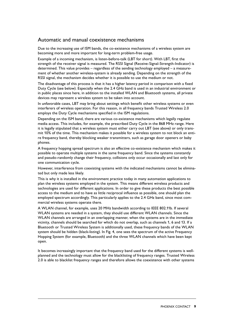#### <span id="page-8-0"></span>Automatic and manual coexistence mechanisms

Due to the increasing use of ISM bands, the co-existence mechanisms of a wireless system are becoming more and more important for long-term problem-free usage.

Example of a incoming mechanism, is listen-before-talk (LBT for short). With LBT, first the strength of the receiver signal is measured. The RSSI Signal (Receive-Signal-Strength-Indicator) is determined. This value provides – regardless of the sending technology employed – a measurement of whether another wireless-system is already sending. Depending on the strength of the RSSI signal, the mechanism decides whether it is possible to use the medium or not.

The disadvantage of this process is that it has a higher latency period in comparison with a fixed Duty Cycle (see below). Especially when the 2.4 GHz band is used in an industrial environment or in public places since here, in addition to the installed WLAN and Bluetooth systems, all private devices may represent a wireless system to be taken into account.

In unfavorable cases, LBT may bring about settings which benefit other wireless systems or even interferers of wireless operation. For this reason, in all frequency bands Trusted Wireless 2.0 employs the Duty Cycle mechanisms specified in the ISM regulations.

Depending on the ISM band, there are various co-existence mechanisms which legally regulate media access. This includes, for example, the prescribed Duty Cycle in the 868 MHz range. Here it is legally stipulated that a wireless system must either carry out LBT (see above) or only transmit 10% of the time. This mechanism makes it possible for a wireless system to not block an entire frequency band, thereby blocking weaker transmitters, such as garage door openers or baby phones.

A frequency hopping spread spectrum is also an effective co-existence mechanism which makes it possible to operate multiple systems in the same frequency band. Since the systems constantly and pseudo-randomly change their frequency, collisions only occur occasionally and last only for one communication cycle.

However, interference from coexisting systems with the indicated mechanisms cannot be eliminated but only made less likely.

This is why it is installed in the environment practice today in many automation applications to plan the wireless systems employed in the system. This means different wireless products and technologies are used for different applications. In order to give these products the best possible access to the medium and to have as little reciprocal influence as possible, one should plan the employed spectrum accordingly. This particularly applies to the 2.4 GHz band, since most commercial wireless systems operate there.

A WLAN channel, for example, uses 20 MHz bandwidth according to IEEE 802.11b. If several WLAN systems are needed in a system, they should use different WLAN channels. Since the WLAN channels are arranged in an overlapping manner, when the systems are in the immediate vicinity, channels should be searched for which do not overlap, such as channels 1, 6 and 13. If a Bluetooth or Trusted Wireless System is additionally used, these frequency bands of the WLAN system should be hidden (black-listing). In Fig. 4, one sees the spectrum of the active Frequency Hopping System (for example, Bluetooth) and the three WLAN channels which have been kept open.

It becomes increasingly important that the frequency band used for the different systems is wellplanned and the technology must allow for the blacklisting of frequency ranges. Trusted Wireless 2.0 is able to blacklist frequency ranges and therefore allows the coexistence with other systems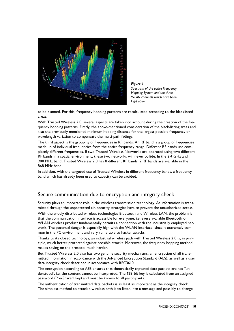<span id="page-9-0"></span>

*Figure 4 Spectrum of the active Frequency Hopping System and the three WLAN channels which have been kept open*

to be planned. For this, frequency hopping patterns are recalculated according to the blacklisted areas.

With Trusted Wireless 2.0, several aspects are taken into account during the creation of the frequency hopping patterns. Firstly, the above-mentioned consideration of the black-listing areas and also the previously mentioned minimum hopping distance for the largest possible frequency or wavelength variation to compensate the multi-path fadings.

The third aspect is the grouping of frequencies in RF bands. An RF band is a group of frequencies made up of individual frequencies from the entire frequency range. Different RF bands use completely different frequencies. If two Trusted Wireless Networks are operated using two different RF bands in a spatial environment, these two networks will never collide. In the 2.4 GHz and 900 MHz band, Trusted Wireless 2.0 has 8 different RF bands. 2 RF bands are available in the 868 MHz band.

In addition, with the targeted use of Trusted Wireless in different frequency bands, a frequency band which has already been used to capacity can be avoided.

#### Secure communication due to encryption and integrity check

Security plays an important role in the wireless transmission technology. As information is transmitted through the unprotected air, security strategies have to prevent the unauthorized access.

With the widely distributed wireless technologies Bluetooth and Wireless LAN, the problem is that the communication interface is accessible for everyone, i.e. every available Bluetooth or WLAN wireless product fundamentally permits a connection with the industrially employed network. The potential danger is especially high with the WLAN interface, since it extremely common in the PC environment and very vulnerable to hacker attacks.

Thanks to its closed technology, an industrial wireless path with Trusted Wireless 2.0 is, in principle, much better protected against possible attacks. Moreover, the frequency hopping method makes spying on the protocol much harder.

But Trusted Wireless 2.0 also has two genuine security mechanisms, an encryption of all transmitted information in accordance with the Advanced Encryption Standard (AES), as well as a user data integrity check described in accordance with RFC3610.

The encryption according to AES ensures that theoretically captured data packets are not "understood", i.e. the content cannot be interpreted. The 128-bit key is calculated from an assigned password (Pre-Shared Key) and must be known to all participants.

The authentication of transmitted data packets is as least as important as the integrity check. The simplest method to attack a wireless path is to listen into a message and possibly to change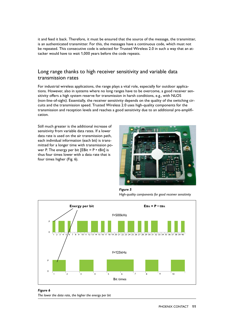<span id="page-10-0"></span>it and feed it back. Therefore, it must be ensured that the source of the message, the transmitter, is an authenticated transmitter. For this, the messages have a continuous code, which must not be repeated. This consecutive code is selected for Trusted Wireless 2.0 in such a way that an attacker would have to wait 1,000 years before the code repeats.

### Long range thanks to high receiver sensitivity and variable data transmission rates

For industrial wireless applications, the range plays a vital role, especially for outdoor applications. However, also in systems where no long ranges have to be overcome, a good receiver sensitivity offers a high system reserve for transmission in harsh conditions, e.g., with NLOS (non-line-of-sight). Essentially, the receiver sensitivity depends on the quality of the switching circuits and the transmission speed. Trusted Wireless 2.0 uses high-quality components for the transmission and reception levels and reaches a good sensitivity due to an additional pre-amplification.

Still much greater is the additional increase of sensitivity from variable data rates. If a lower data rate is used on the air transmission path, each individual information (each bit) is transmitted for a longer time with transmission power P. The energy per bit  $[EBit = P \cdot tBit]$  is thus four times lower with a data rate that is four times higher (Fig. 6).



*Figure 5 High-quality components for good receiver sensitivity*



*Figure 6 The lower the data rate, the higher the energy per bit*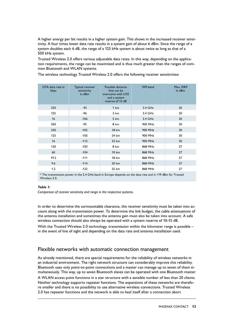A higher energy per bit results in a higher system gain. This shows in the increased receiver sensitivity. A four times lower data rate results in a system gain of about 6 dBm. Since the range of a system doubles each 6 dB, the range of a 125 kHz system is about twice as long as that of a 500 kHz system.

Trusted Wireless 2.0 offers various adjustable data rates. In this way, depending on the application requirements, the range can be maximized and is thus much greater than the ranges of common Bluetooth and WLAN systems.

The wireless technology Trusted Wireless 2.0 offers the following receiver sensitivities:

| OTA data rate in<br>kbps | Typical receiver<br>sensitivity<br>in dBm | Possible distance<br>that can be<br>overcome with LOS<br>and a system<br>reserve of 12 dB | <b>ISM</b> band | Max. EIRP<br>in dBm |
|--------------------------|-------------------------------------------|-------------------------------------------------------------------------------------------|-----------------|---------------------|
| 250                      | $-93$                                     | 1 km                                                                                      | $2.4$ GHz       | 20                  |
| 125                      | -96                                       | 3 km                                                                                      | $2.4$ GHz       | 20                  |
| 16                       | $-106$                                    | 5 km                                                                                      | $2.4$ GHz       | 20                  |
| 500                      | $-95$                                     | 8 km                                                                                      | 900 MHz         | 30                  |
| 250                      | $-102$                                    | <b>18 km</b>                                                                              | 900 MHz         | 30                  |
| 125                      | $-105$                                    | 24 km                                                                                     | 900 MHz         | 30                  |
| 16                       | $-112$                                    | 32 km                                                                                     | 900 MHz         | 30                  |
| 120                      | $-103$                                    | 8 km                                                                                      | 868 MHz         | 27                  |
| 60                       | $-104$                                    | <b>10 km</b>                                                                              | 868 MHz         | 27                  |
| 19.2                     | $-111$                                    | <b>18 km</b>                                                                              | 868 MHz         | 27                  |
| 9.6                      | $-114$                                    | 20 km                                                                                     | 868 MHz         | 27                  |
| 1.2                      | $-122$                                    | 25 km                                                                                     | 868 MHz         | 27                  |

\* The transmission power in the 2.4 GHz band in Europe depends on the data rate and is <19 dBm for Trusted Wireless 2.0.

#### *Table 1:*

*Comparison of receiver sensitivity and range in the respective systems.*

In order to determine the surmountable clearance, the receiver sensitivity must be taken into account along with the transmission power. To determine the link budget, the cable attenuations of the antenna installation and sometimes the antenna gain must also be taken into account. A safe wireless connection should also always be operated with a system reserve of 10-15 dB.

With the Trusted Wireless 2.0 technology, transmission within the kilometer range is possible in the event of line of sight and depending on the data rate and antenna installation used.

#### Flexible networks with automatic connection management

As already mentioned, there are special requirements for the reliability of wireless networks in an industrial environment. The right network structure can considerably improve this reliability. Bluetooth uses only point-to-point connections and a master can manage up to seven of them simultaneously. This way, up to seven Bluetooth slaves can be operated with one Bluetooth master.

A WLAN access point functions in a star structure with a sensible number of less than 20 clients. Neither technology supports repeater functions. The expansions of these networks are therefore smaller and there is no possibility to use alternative wireless connections. Trusted Wireless 2.0 has repeater functions and the network is able to heal itself after a connection abort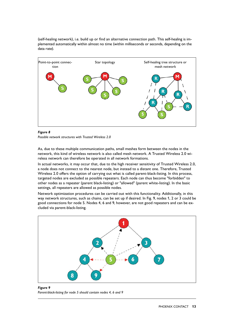<span id="page-12-0"></span>(self-healing network), i.e. build up or find an alternative connection path. This self-healing is implemented automatically within almost no time (within milliseconds or seconds, depending on the data rate).



#### *Figure 8*

*Possible network structures with Trusted Wireless 2.0*

As, due to these multiple communication paths, small meshes form between the nodes in the network, this kind of wireless network is also called mesh network. A Trusted Wireless 2.0 wireless network can therefore be operated in all network formations.

In actual networks, it may occur that, due to the high receiver sensitivity of Trusted Wireless 2.0, a node does not connect to the nearest node, but instead to a distant one. Therefore, Trusted Wireless 2.0 offers the option of carrying out what is called parent-black-listing. In this process, targeted nodes are excluded as possible repeaters. Each node can thus become "forbidden" to other nodes as a repeater (parent black-listing) or "allowed" (parent white-listing). In the basic settings, all repeaters are allowed as possible nodes.

Network optimization procedures can be carried out with this functionality. Additionally, in this way network structures, such as chains, can be set up if desired. In Fig. 9, nodes 1, 2 or 3 could be good connections for node 5. Nodes 4, 6 and 9, however, are not good repeaters and can be excluded via parent-black-listing.



#### *Figure 9 Parent-black-listing for node 5 should contain nodes 4, 6 and 9*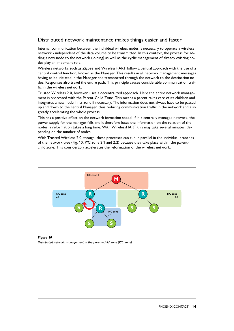## Distributed network maintenance makes things easier and faster

Internal communication between the individual wireless nodes is necessary to operate a wireless network - independent of the data volume to be transmitted. In this context, the process for adding a new node to the network (joining) as well as the cyclic management of already existing nodes play an important role.

Wireless networks such as Zigbee and WirelessHART follow a central approach with the use of a central control function, known as the Manager. This results in all network management messages having to be initiated in the Manager and transported through the network to the destination nodes. Responses also travel the entire path. This principle causes considerable communication traffic in the wireless network.

Trusted Wireless 2.0, however, uses a decentralized approach. Here the entire network management is processed with the Parent-Child Zone. This means a parent takes care of its children and integrates a new node in its zone if necessary. The information does not always have to be passed up and down to the central Manager, thus reducing communication traffic in the network and also greatly accelerating the whole process.

This has a positive effect on the network formation speed. If in a centrally managed network, the power supply for the manager fails and it therefore loses the information on the relation of the nodes, a reformation takes a long time. With WirelessHART this may take several minutes, depending on the number of nodes.

With Trusted Wireless 2.0, though, these processes can run in parallel in the individual branches of the network tree (Fig. 10, P/C zone 2.1 and 2.2) because they take place within the parentchild zone. This considerably accelerates the reformation of the wireless network.



*Figure 10 Distributed network management in the parent-child zone (P/C zone)*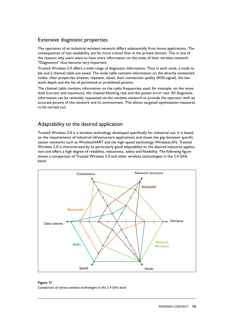#### <span id="page-14-0"></span>Extensive diagnostic properties

The operation of an industrial wireless network differs substantially from home applications. The consequences of non-availability are far more critical than in the private domain. This is one of the reasons why users want to have more information on the state of their wireless network. "Diagnostics" thus become very important.

Trusted Wireless 2.0 offers a wide range of diagnostic information. Thus in each node, a node table and a channel table are saved. The node table contains information on the directly connected nodes, their properties (master, repeater, slave), their connection quality (RSSI signal), the network depth and the list of permitted or prohibited parents.

The channel table contains information on the radio frequencies used, for example, on the noise level (current and maximum), the channel blocking rate and the packet error rate. All diagnostic information can be remotely requested via the wireless network to provide the operator with an accurate picture of the network and its environment. This allows targeted optimization measures to be carried out.

# Adaptability to the desired application

Trusted Wireless 2.0 is a wireless technology developed specifically for industrial use. It is based on the requirements of industrial infrastructure applications and closes the gap between specific sensor networks such as WirelessHART and the high-speed technology WirelessLAN. Trusted Wireless 2.0 is characterized by its particularly good adaptability to the desired industrial application and offers a high degree of reliability, robustness, safety and flexibility. The following figure shows a comparison of Trusted Wireless 2.0 and other wireless technologies in the 2.4 GHz band.



#### *Figure 11*

*Comparison of various wireless technologies in the 2.4 GHz band*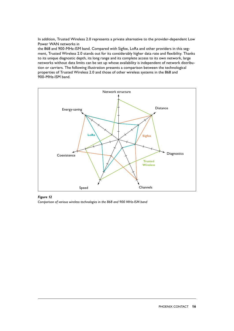<span id="page-15-0"></span>In addition, Trusted Wireless 2.0 represents a private alternative to the provider-dependent Low Power WAN networks in

the 868 and 900-MHz-ISM band. Compared with Sigfox, LoRa and other providers in this segment, Trusted Wireless 2.0 stands out for its considerably higher data rate and flexibility. Thanks to its unique diagnostic depth, its long range and its complete access to its own network, large networks without data limits can be set up whose availability is independent of network distribution or carriers. The following illustration presents a comparison between the technological properties of Trusted Wireless 2.0 and those of other wireless systems in the 868 and 900-MHz-ISM band.



#### *Figure 12*

*Comparison of various wireless technologies in the 868 and 900 MHz-ISM band*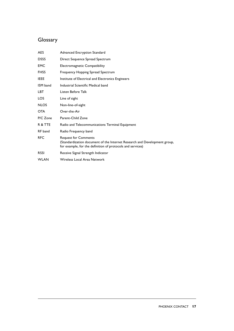# <span id="page-16-0"></span>**Glossary**

| <b>AES</b>  | Advanced Encryption Standard                                                                                                                                           |
|-------------|------------------------------------------------------------------------------------------------------------------------------------------------------------------------|
| <b>DSSS</b> | Direct Sequence Spread Spectrum                                                                                                                                        |
| <b>EMC</b>  | Electromagnetic Compatibility                                                                                                                                          |
| <b>FHSS</b> | Frequency Hopping Spread Spectrum                                                                                                                                      |
| <b>IEEE</b> | Institute of Electrical and Electronics Engineers                                                                                                                      |
| ISM band    | Industrial Scientific Medical band                                                                                                                                     |
| LBT         | Listen Before Talk                                                                                                                                                     |
| LOS         | Line of sight                                                                                                                                                          |
| <b>NLOS</b> | Non-line-of-sight                                                                                                                                                      |
| <b>OTA</b>  | Over-the-Air                                                                                                                                                           |
| P/C Zone    | Parent-Child Zone                                                                                                                                                      |
| R & TTE     | Radio and Telecommunications Terminal Equipment                                                                                                                        |
| RF band     | Radio Frequency band                                                                                                                                                   |
| <b>RFC</b>  | <b>Request for Comments</b><br>(Standardization document of the Internet Research and Development group,<br>for example, for the definition of protocols and services) |
| <b>RSSI</b> | Receive Signal Strength Indicator                                                                                                                                      |
| <b>WLAN</b> | Wireless Local Area Network                                                                                                                                            |